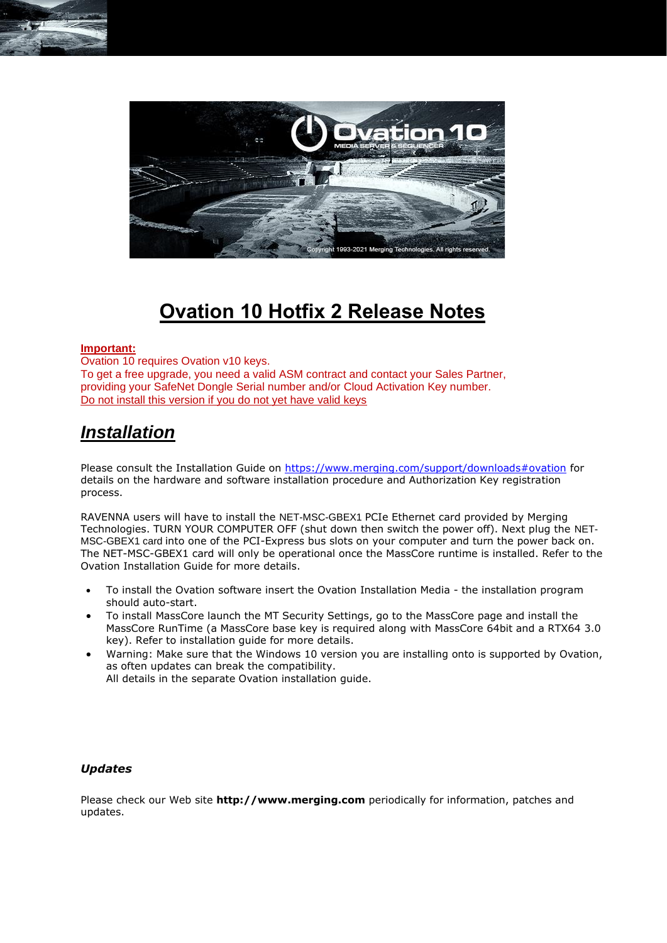

# **Ovation 10 Hotfix 2 Release Notes**

#### **Important:**

Ovation 10 requires Ovation v10 keys. To get a free upgrade, you need a valid ASM contract and contact your Sales Partner, providing your SafeNet Dongle Serial number and/or Cloud Activation Key number. Do not install this version if you do not yet have valid keys

## *Installation*

Please consult the Installation Guide on<https://www.merging.com/support/downloads#ovation> for details on the hardware and software installation procedure and Authorization Key registration process.

RAVENNA users will have to install the NET-MSC-GBEX1 PCIe Ethernet card provided by Merging Technologies. TURN YOUR COMPUTER OFF (shut down then switch the power off). Next plug the NET-MSC-GBEX1 card into one of the PCI-Express bus slots on your computer and turn the power back on. The NET-MSC-GBEX1 card will only be operational once the MassCore runtime is installed. Refer to the Ovation Installation Guide for more details.

- To install the Ovation software insert the Ovation Installation Media the installation program should auto-start.
- To install MassCore launch the MT Security Settings, go to the MassCore page and install the MassCore RunTime (a MassCore base key is required along with MassCore 64bit and a RTX64 3.0 key). Refer to installation guide for more details.
- Warning: Make sure that the Windows 10 version you are installing onto is supported by Ovation, as often updates can break the compatibility.
	- All details in the separate Ovation installation guide.

#### *Updates*

Please check our Web site **http://www.merging.com** periodically for information, patches and updates.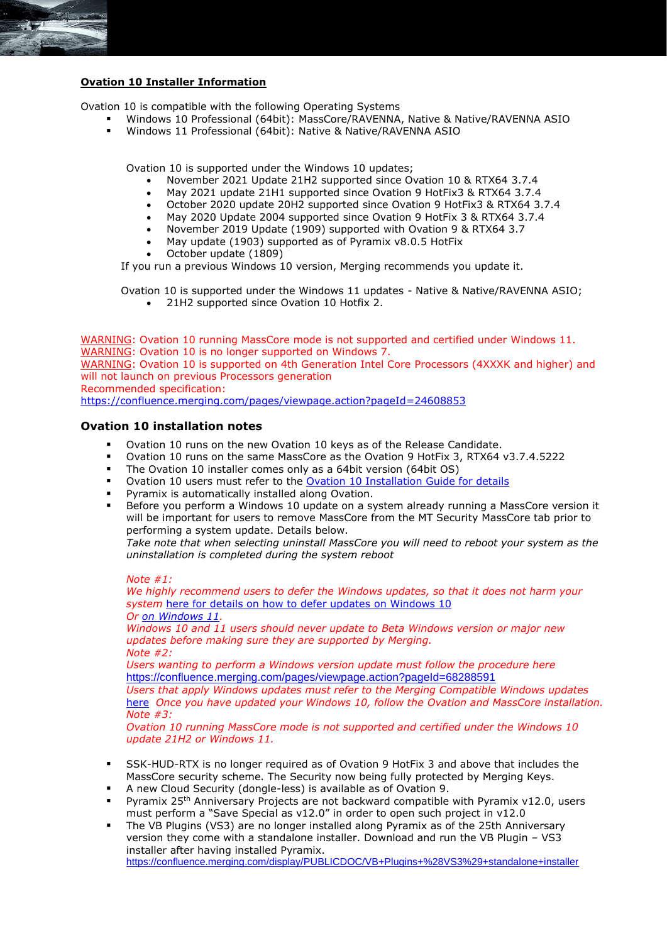## **Ovation 10 Installer Information**

Ovation 10 is compatible with the following Operating Systems

- Windows 10 Professional (64bit): MassCore/RAVENNA, Native & Native/RAVENNA ASIO
- Windows 11 Professional (64bit): Native & Native/RAVENNA ASIO

Ovation 10 is supported under the Windows 10 updates;

- November 2021 Update 21H2 supported since Ovation 10 & RTX64 3.7.4
- May 2021 update 21H1 supported since Ovation 9 HotFix3 & RTX64 3.7.4
- October 2020 update 20H2 supported since Ovation 9 HotFix3 & RTX64 3.7.4
- May 2020 Update 2004 supported since Ovation 9 HotFix 3 & RTX64 3.7.4
- November 2019 Update (1909) supported with Ovation 9 & RTX64 3.7
- May update (1903) supported as of Pyramix v8.0.5 HotFix
- October update (1809)

If you run a previous Windows 10 version, Merging recommends you update it.

Ovation 10 is supported under the Windows 11 updates - Native & Native/RAVENNA ASIO;

• 21H2 supported since Ovation 10 Hotfix 2.

WARNING: Ovation 10 running MassCore mode is not supported and certified under Windows 11. WARNING: Ovation 10 is no longer supported on Windows 7. WARNING: Ovation 10 is supported on 4th Generation Intel Core Processors (4XXXK and higher) and will not launch on previous Processors generation Recommended specification:

<https://confluence.merging.com/pages/viewpage.action?pageId=24608853>

#### **Ovation 10 installation notes**

- Ovation 10 runs on the new Ovation 10 keys as of the Release Candidate.
- Ovation 10 runs on the same MassCore as the Ovation 9 HotFix 3, RTX64 v3.7.4.5222
- The Ovation 10 installer comes only as a 64bit version (64bit OS)
- Ovation 10 users must refer to the [Ovation 10 Installation Guide for details](https://www.merging.com/support/downloads#ovation)
- Pyramix is automatically installed along Ovation.
- Before you perform a Windows 10 update on a system already running a MassCore version it will be important for users to remove MassCore from the MT Security MassCore tab prior to performing a system update. Details below.

*Take note that when selecting uninstall MassCore you will need to reboot your system as the uninstallation is completed during the system reboot*

*Note #1: We highly recommend users to defer the Windows updates, so that it does not harm your*  system [here for details on how to defer updates](https://confluence.merging.com/display/PUBLICDOC/Windows+10+Defer+Updates) on Windows 10 *Or [on Windows 11.](https://confluence.merging.com/pages/viewpage.action?pageId=107217926) Windows 10 and 11 users should never update to Beta Windows version or major new updates before making sure they are supported by Merging. Note #2: Users wanting to perform a Windows version update must follow the procedure here* <https://confluence.merging.com/pages/viewpage.action?pageId=68288591> *Users that apply Windows updates must refer to the Merging Compatible Windows updates*  [here](https://confluence.merging.com/pages/viewpage.action?pageId=25755762) *Once you have updated your Windows 10, follow the Ovation and MassCore installation. Note #3: Ovation 10 running MassCore mode is not supported and certified under the Windows 10 update 21H2 or Windows 11.*

- SSK-HUD-RTX is no longer required as of Ovation 9 HotFix 3 and above that includes the MassCore security scheme. The Security now being fully protected by Merging Keys.
- A new Cloud Security (dongle-less) is available as of Ovation 9.
- Pyramix 25<sup>th</sup> Anniversary Projects are not backward compatible with Pyramix v12.0, users must perform a "Save Special as v12.0" in order to open such project in v12.0
- The VB Plugins (VS3) are no longer installed along Pyramix as of the 25th Anniversary version they come with a standalone installer. Download and run the VB Plugin – VS3 installer after having installed Pyramix. <https://confluence.merging.com/display/PUBLICDOC/VB+Plugins+%28VS3%29+standalone+installer>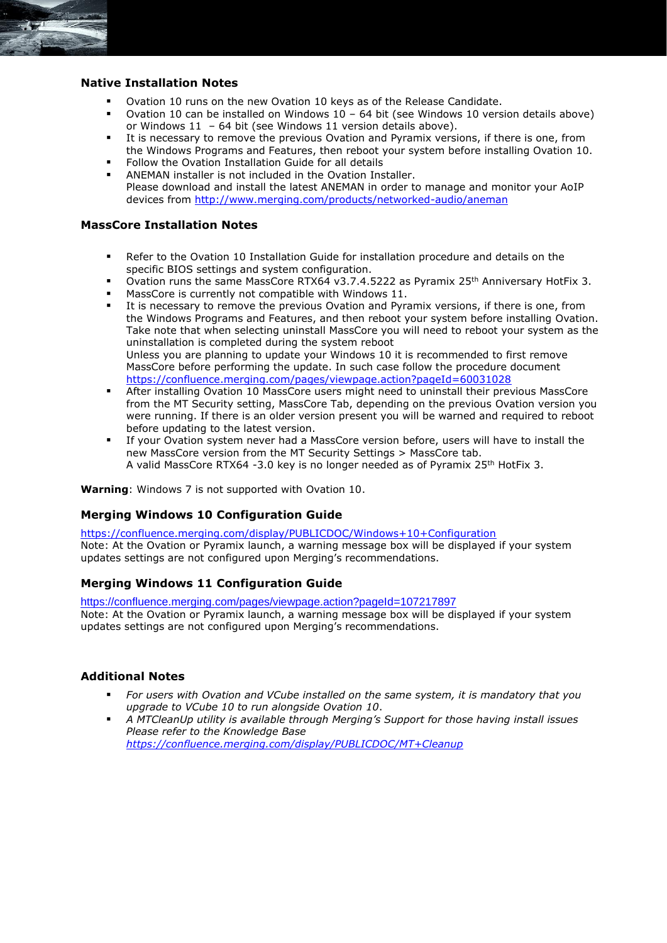## **Native Installation Notes**

- Ovation 10 runs on the new Ovation 10 keys as of the Release Candidate.
- Ovation 10 can be installed on Windows  $10 64$  bit (see Windows 10 version details above) or Windows 11 – 64 bit (see Windows 11 version details above).
- It is necessary to remove the previous Ovation and Pyramix versions, if there is one, from the Windows Programs and Features, then reboot your system before installing Ovation 10.
- Follow the Ovation Installation Guide for all details
- ANEMAN installer is not included in the Ovation Installer. Please download and install the latest ANEMAN in order to manage and monitor your AoIP devices from<http://www.merging.com/products/networked-audio/aneman>

## **MassCore Installation Notes**

- Refer to the Ovation 10 Installation Guide for installation procedure and details on the specific BIOS settings and system configuration.
- Ovation runs the same MassCore RTX64 v3.7.4.5222 as Pyramix 25<sup>th</sup> Anniversary HotFix 3.
- MassCore is currently not compatible with Windows 11.
- It is necessary to remove the previous Ovation and Pyramix versions, if there is one, from the Windows Programs and Features, and then reboot your system before installing Ovation. Take note that when selecting uninstall MassCore you will need to reboot your system as the uninstallation is completed during the system reboot Unless you are planning to update your Windows 10 it is recommended to first remove MassCore before performing the update. In such case follow the procedure document <https://confluence.merging.com/pages/viewpage.action?pageId=60031028>
- After installing Ovation 10 MassCore users might need to uninstall their previous MassCore from the MT Security setting, MassCore Tab, depending on the previous Ovation version you were running. If there is an older version present you will be warned and required to reboot before updating to the latest version.
- If your Ovation system never had a MassCore version before, users will have to install the new MassCore version from the MT Security Settings > MassCore tab. A valid MassCore RTX64 -3.0 key is no longer needed as of Pyramix 25th HotFix 3.

**Warning**: Windows 7 is not supported with Ovation 10.

## **Merging Windows 10 Configuration Guide**

<https://confluence.merging.com/display/PUBLICDOC/Windows+10+Configuration> Note: At the Ovation or Pyramix launch, a warning message box will be displayed if your system updates settings are not configured upon Merging's recommendations.

#### **Merging Windows 11 Configuration Guide**

<https://confluence.merging.com/pages/viewpage.action?pageId=107217897> Note: At the Ovation or Pyramix launch, a warning message box will be displayed if your system updates settings are not configured upon Merging's recommendations.

#### **Additional Notes**

- *For users with Ovation and VCube installed on the same system, it is mandatory that you upgrade to VCube 10 to run alongside Ovation 10*.
- *A MTCleanUp utility is available through Merging's Support for those having install issues Please refer to the Knowledge Base <https://confluence.merging.com/display/PUBLICDOC/MT+Cleanup>*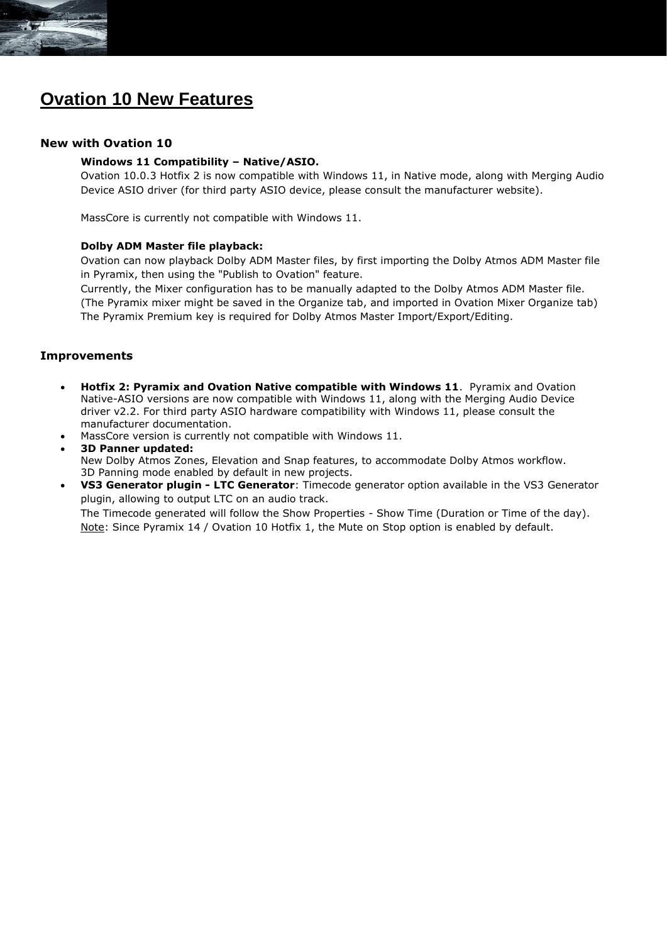

## **Ovation 10 New Features**

## **New with Ovation 10**

#### **Windows 11 Compatibility – Native/ASIO.**

Ovation 10.0.3 Hotfix 2 is now compatible with Windows 11, in Native mode, along with Merging Audio Device ASIO driver (for third party ASIO device, please consult the manufacturer website).

MassCore is currently not compatible with Windows 11.

#### **Dolby ADM Master file playback:**

Ovation can now playback Dolby ADM Master files, by first importing the Dolby Atmos ADM Master file in Pyramix, then using the "Publish to Ovation" feature.

Currently, the Mixer configuration has to be manually adapted to the Dolby Atmos ADM Master file. (The Pyramix mixer might be saved in the Organize tab, and imported in Ovation Mixer Organize tab) The Pyramix Premium key is required for Dolby Atmos Master Import/Export/Editing.

#### **Improvements**

- **Hotfix 2: Pyramix and Ovation Native compatible with Windows 11**. Pyramix and Ovation Native-ASIO versions are now compatible with Windows 11, along with the Merging Audio Device driver v2.2. For third party ASIO hardware compatibility with Windows 11, please consult the manufacturer documentation.
- MassCore version is currently not compatible with Windows 11.
- **3D Panner updated:**  New Dolby Atmos Zones, Elevation and Snap features, to accommodate Dolby Atmos workflow. 3D Panning mode enabled by default in new projects. • **VS3 Generator plugin - LTC Generator**: Timecode generator option available in the VS3 Generator
- plugin, allowing to output LTC on an audio track. The Timecode generated will follow the Show Properties - Show Time (Duration or Time of the day). Note: Since Pyramix 14 / Ovation 10 Hotfix 1, the Mute on Stop option is enabled by default.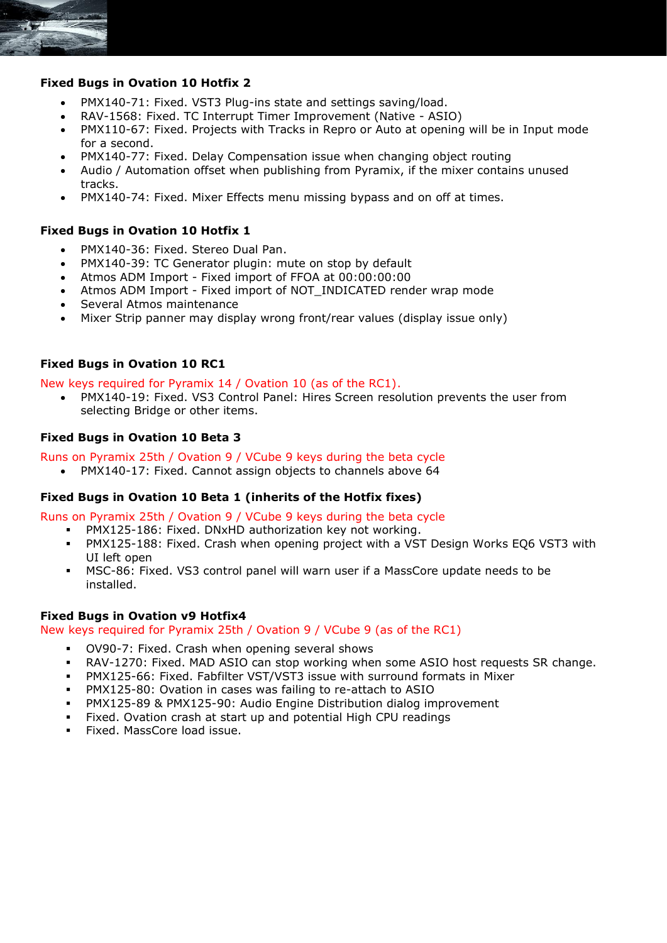

## **Fixed Bugs in Ovation 10 Hotfix 2**

- PMX140-71: Fixed. VST3 Plug-ins state and settings saving/load.
- RAV-1568: Fixed. TC Interrupt Timer Improvement (Native ASIO)
- PMX110-67: Fixed. Projects with Tracks in Repro or Auto at opening will be in Input mode for a second.
- PMX140-77: Fixed. Delay Compensation issue when changing object routing
- Audio / Automation offset when publishing from Pyramix, if the mixer contains unused tracks.
- PMX140-74: Fixed. Mixer Effects menu missing bypass and on off at times.

## **Fixed Bugs in Ovation 10 Hotfix 1**

- PMX140-36: Fixed. Stereo Dual Pan.
- PMX140-39: TC Generator plugin: mute on stop by default
- Atmos ADM Import Fixed import of FFOA at 00:00:00:00
- Atmos ADM Import Fixed import of NOT\_INDICATED render wrap mode
- Several Atmos maintenance
- Mixer Strip panner may display wrong front/rear values (display issue only)

## **Fixed Bugs in Ovation 10 RC1**

New keys required for Pyramix 14 / Ovation 10 (as of the RC1).

• PMX140-19: Fixed. VS3 Control Panel: Hires Screen resolution prevents the user from selecting Bridge or other items.

## **Fixed Bugs in Ovation 10 Beta 3**

Runs on Pyramix 25th / Ovation 9 / VCube 9 keys during the beta cycle

• PMX140-17: Fixed. Cannot assign objects to channels above 64

#### **Fixed Bugs in Ovation 10 Beta 1 (inherits of the Hotfix fixes)**

Runs on Pyramix 25th / Ovation 9 / VCube 9 keys during the beta cycle

- PMX125-186: Fixed. DNxHD authorization key not working.
- PMX125-188: Fixed. Crash when opening project with a VST Design Works EQ6 VST3 with UI left open
- MSC-86: Fixed. VS3 control panel will warn user if a MassCore update needs to be installed.

#### **Fixed Bugs in Ovation v9 Hotfix4**

New keys required for Pyramix 25th / Ovation 9 / VCube 9 (as of the RC1)

- OV90-7: Fixed. Crash when opening several shows
- **RAV-1270: Fixed. MAD ASIO can stop working when some ASIO host requests SR change.**
- PMX125-66: Fixed. Fabfilter VST/VST3 issue with surround formats in Mixer
- PMX125-80: Ovation in cases was failing to re-attach to ASIO
- **PMX125-89 & PMX125-90: Audio Engine Distribution dialog improvement**
- Fixed. Ovation crash at start up and potential High CPU readings
- Fixed. MassCore load issue.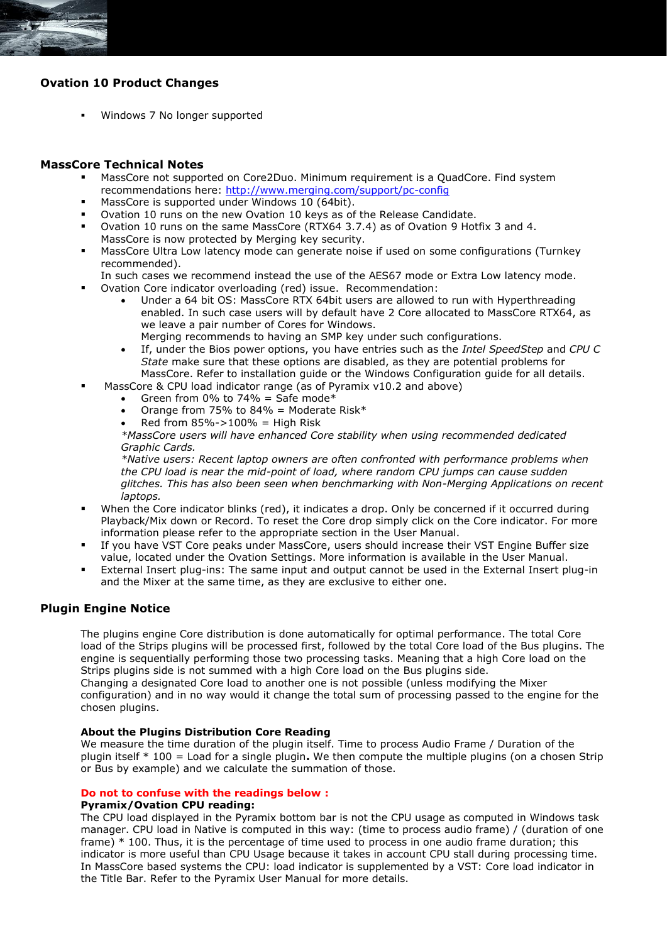

## **Ovation 10 Product Changes**

▪ Windows 7 No longer supported

## **MassCore Technical Notes**

- MassCore not supported on Core2Duo. Minimum requirement is a QuadCore. Find system recommendations here:<http://www.merging.com/support/pc-config>
- MassCore is supported under Windows 10 (64bit).
- Ovation 10 runs on the new Ovation 10 keys as of the Release Candidate.
- Ovation 10 runs on the same MassCore (RTX64 3.7.4) as of Ovation 9 Hotfix 3 and 4. MassCore is now protected by Merging key security.
- MassCore Ultra Low latency mode can generate noise if used on some configurations (Turnkey recommended).
- In such cases we recommend instead the use of the AES67 mode or Extra Low latency mode. Ovation Core indicator overloading (red) issue. Recommendation:
	- Under a 64 bit OS: MassCore RTX 64bit users are allowed to run with Hyperthreading enabled. In such case users will by default have 2 Core allocated to MassCore RTX64, as we leave a pair number of Cores for Windows.
	- Merging recommends to having an SMP key under such configurations.
	- If, under the Bios power options, you have entries such as the *Intel SpeedStep* and *CPU C State* make sure that these options are disabled, as they are potential problems for MassCore. Refer to installation guide or the Windows Configuration guide for all details.
- MassCore & CPU load indicator range (as of Pyramix v10.2 and above)
	- Green from 0% to 74% = Safe mode\*
	- Orange from 75% to 84% = Moderate Risk\*
	- Red from  $85\%$ ->100% = High Risk

*\*MassCore users will have enhanced Core stability when using recommended dedicated Graphic Cards.*

*\*Native users: Recent laptop owners are often confronted with performance problems when the CPU load is near the mid-point of load, where random CPU jumps can cause sudden glitches. This has also been seen when benchmarking with Non-Merging Applications on recent laptops.*

- When the Core indicator blinks (red), it indicates a drop. Only be concerned if it occurred during Playback/Mix down or Record. To reset the Core drop simply click on the Core indicator. For more information please refer to the appropriate section in the User Manual.
- If you have VST Core peaks under MassCore, users should increase their VST Engine Buffer size value, located under the Ovation Settings. More information is available in the User Manual.
- External Insert plug-ins: The same input and output cannot be used in the External Insert plug-in and the Mixer at the same time, as they are exclusive to either one.

#### **Plugin Engine Notice**

The plugins engine Core distribution is done automatically for optimal performance. The total Core load of the Strips plugins will be processed first, followed by the total Core load of the Bus plugins. The engine is sequentially performing those two processing tasks. Meaning that a high Core load on the Strips plugins side is not summed with a high Core load on the Bus plugins side. Changing a designated Core load to another one is not possible (unless modifying the Mixer configuration) and in no way would it change the total sum of processing passed to the engine for the chosen plugins.

#### **About the Plugins Distribution Core Reading**

We measure the time duration of the plugin itself. Time to process Audio Frame / Duration of the plugin itself \* 100 = Load for a single plugin**.** We then compute the multiple plugins (on a chosen Strip or Bus by example) and we calculate the summation of those.

#### **Do not to confuse with the readings below :**

#### **Pyramix/Ovation CPU reading:**

The CPU load displayed in the Pyramix bottom bar is not the CPU usage as computed in Windows task manager. CPU load in Native is computed in this way: (time to process audio frame) / (duration of one frame) \* 100. Thus, it is the percentage of time used to process in one audio frame duration; this indicator is more useful than CPU Usage because it takes in account CPU stall during processing time. In MassCore based systems the CPU: load indicator is supplemented by a VST: Core load indicator in the Title Bar. Refer to the Pyramix User Manual for more details.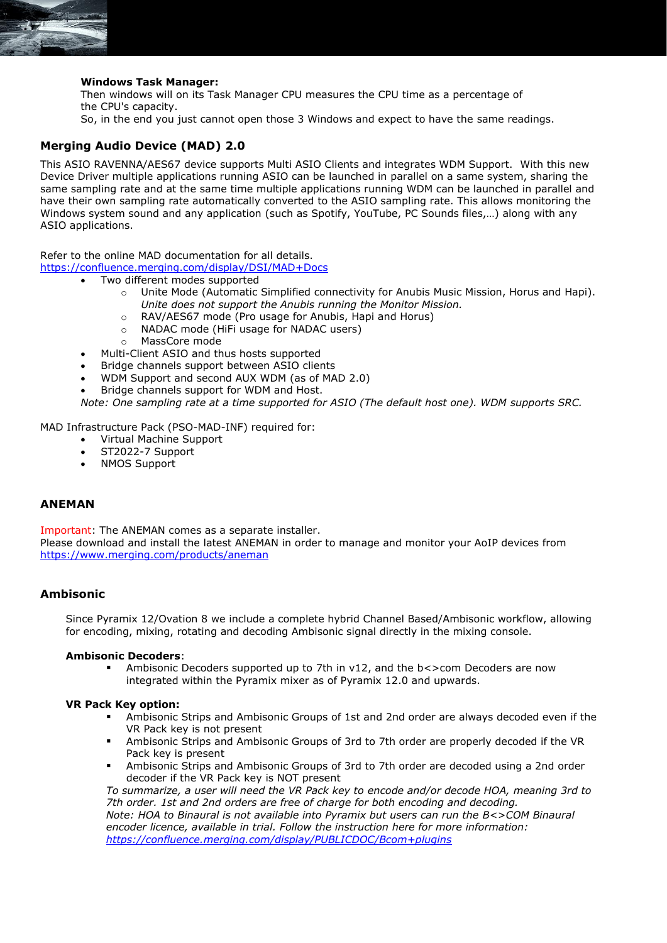

#### **Windows Task Manager:**

Then windows will on its Task Manager CPU measures the CPU time as a percentage of the CPU's capacity. So, in the end you just cannot open those 3 Windows and expect to have the same readings.

## **Merging Audio Device (MAD) 2.0**

This ASIO RAVENNA/AES67 device supports Multi ASIO Clients and integrates WDM Support. With this new Device Driver multiple applications running ASIO can be launched in parallel on a same system, sharing the same sampling rate and at the same time multiple applications running WDM can be launched in parallel and have their own sampling rate automatically converted to the ASIO sampling rate. This allows monitoring the Windows system sound and any application (such as Spotify, YouTube, PC Sounds files,…) along with any ASIO applications.

Refer to the online MAD documentation for all details.

<https://confluence.merging.com/display/DSI/MAD+Docs>

- Two different modes supported
	- o Unite Mode (Automatic Simplified connectivity for Anubis Music Mission, Horus and Hapi). *Unite does not support the Anubis running the Monitor Mission.*
	- o RAV/AES67 mode (Pro usage for Anubis, Hapi and Horus)
	- o NADAC mode (HiFi usage for NADAC users)
	- o MassCore mode
	- Multi-Client ASIO and thus hosts supported
	- Bridge channels support between ASIO clients
	- WDM Support and second AUX WDM (as of MAD 2.0)
- Bridge channels support for WDM and Host.

*Note: One sampling rate at a time supported for ASIO (The default host one). WDM supports SRC.*

MAD Infrastructure Pack (PSO-MAD-INF) required for:

- Virtual Machine Support
- ST2022-7 Support
- NMOS Support

#### **ANEMAN**

Important: The ANEMAN comes as a separate installer. Please download and install the latest ANEMAN in order to manage and monitor your AoIP devices from <https://www.merging.com/products/aneman>

## **Ambisonic**

Since Pyramix 12/Ovation 8 we include a complete hybrid Channel Based/Ambisonic workflow, allowing for encoding, mixing, rotating and decoding Ambisonic signal directly in the mixing console.

#### **Ambisonic Decoders**:

Ambisonic Decoders supported up to 7th in  $v12$ , and the b<>com Decoders are now integrated within the Pyramix mixer as of Pyramix 12.0 and upwards.

#### **VR Pack Key option:**

- Ambisonic Strips and Ambisonic Groups of 1st and 2nd order are always decoded even if the VR Pack key is not present
- Ambisonic Strips and Ambisonic Groups of 3rd to 7th order are properly decoded if the VR Pack key is present
- Ambisonic Strips and Ambisonic Groups of 3rd to 7th order are decoded using a 2nd order decoder if the VR Pack key is NOT present

*To summarize, a user will need the VR Pack key to encode and/or decode HOA, meaning 3rd to 7th order. 1st and 2nd orders are free of charge for both encoding and decoding. Note: HOA to Binaural is not available into Pyramix but users can run the B<>COM Binaural encoder licence, available in trial. Follow the instruction here for more information: <https://confluence.merging.com/display/PUBLICDOC/Bcom+plugins>*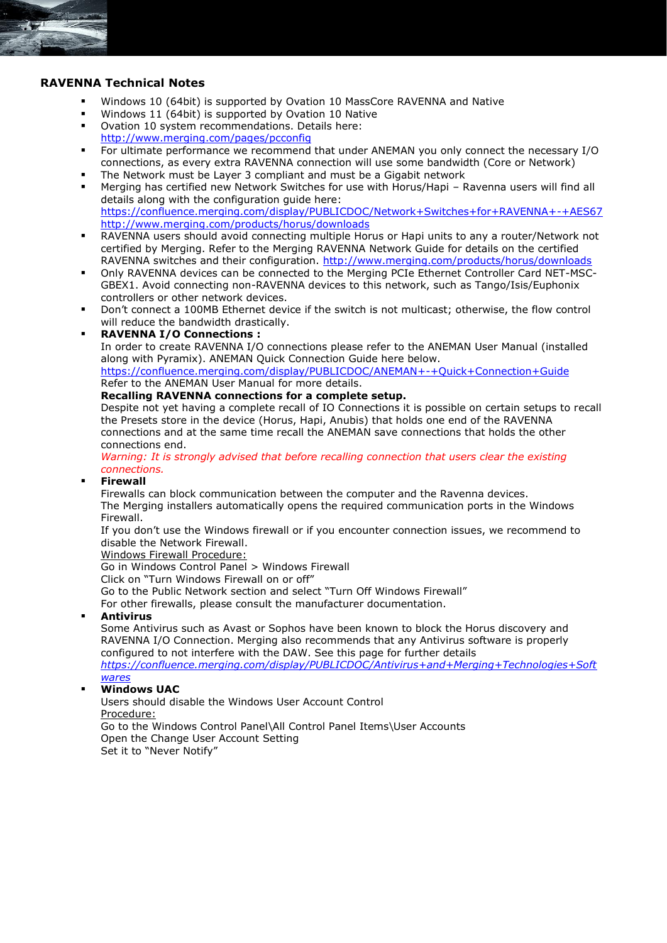

## **RAVENNA Technical Notes**

- Windows 10 (64bit) is supported by Ovation 10 MassCore RAVENNA and Native
- Windows 11 (64bit) is supported by Ovation 10 Native
- Ovation 10 system recommendations. Details here: <http://www.merging.com/pages/pcconfig>
- For ultimate performance we recommend that under ANEMAN you only connect the necessary I/O connections, as every extra RAVENNA connection will use some bandwidth (Core or Network)
- The Network must be Layer 3 compliant and must be a Gigabit network
- Merging has certified new Network Switches for use with Horus/Hapi Ravenna users will find all details along with the configuration guide here: <https://confluence.merging.com/display/PUBLICDOC/Network+Switches+for+RAVENNA+-+AES67> <http://www.merging.com/products/horus/downloads>
- RAVENNA users should avoid connecting multiple Horus or Hapi units to any a router/Network not certified by Merging. Refer to the Merging RAVENNA Network Guide for details on the certified RAVENNA switches and their configuration.<http://www.merging.com/products/horus/downloads>
- Only RAVENNA devices can be connected to the Merging PCIe Ethernet Controller Card NET-MSC-GBEX1. Avoid connecting non-RAVENNA devices to this network, such as Tango/Isis/Euphonix controllers or other network devices.
- Don't connect a 100MB Ethernet device if the switch is not multicast; otherwise, the flow control will reduce the bandwidth drastically.
- **RAVENNA I/O Connections :**

In order to create RAVENNA I/O connections please refer to the ANEMAN User Manual (installed along with Pyramix). ANEMAN Quick Connection Guide here below.

<https://confluence.merging.com/display/PUBLICDOC/ANEMAN+-+Quick+Connection+Guide> Refer to the ANEMAN User Manual for more details.

#### **Recalling RAVENNA connections for a complete setup.**

Despite not yet having a complete recall of IO Connections it is possible on certain setups to recall the Presets store in the device (Horus, Hapi, Anubis) that holds one end of the RAVENNA connections and at the same time recall the ANEMAN save connections that holds the other connections end.

*Warning: It is strongly advised that before recalling connection that users clear the existing connections.*

#### **Firewall**

Firewalls can block communication between the computer and the Ravenna devices. The Merging installers automatically opens the required communication ports in the Windows Firewall.

If you don't use the Windows firewall or if you encounter connection issues, we recommend to disable the Network Firewall.

Windows Firewall Procedure:

Go in Windows Control Panel > Windows Firewall

Click on "Turn Windows Firewall on or off"

Go to the Public Network section and select "Turn Off Windows Firewall"

For other firewalls, please consult the manufacturer documentation.

#### ▪ **Antivirus**

Some Antivirus such as Avast or Sophos have been known to block the Horus discovery and RAVENNA I/O Connection. Merging also recommends that any Antivirus software is properly configured to not interfere with the DAW. See this page for further details

*[https://confluence.merging.com/display/PUBLICDOC/Antivirus+and+Merging+Technologies+Soft](https://confluence.merging.com/display/PUBLICDOC/Antivirus+and+Merging+Technologies+Softwares) [wares](https://confluence.merging.com/display/PUBLICDOC/Antivirus+and+Merging+Technologies+Softwares)*

## **Windows UAC**

Users should disable the Windows User Account Control Procedure: Go to the Windows Control Panel\All Control Panel Items\User Accounts Open the Change User Account Setting Set it to "Never Notify"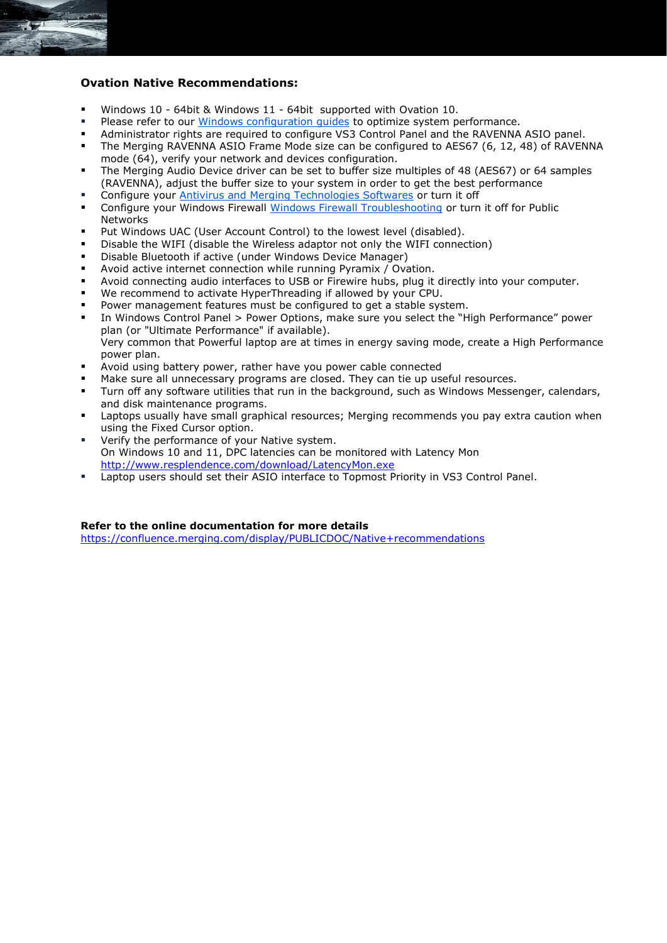## **Ovation Native Recommendations:**

- Windows 10 64bit & Windows 11 64bit supported with Ovation 10.
- **Please refer to our [Windows configuration guides](https://confluence.merging.com/display/PUBLICDOC/Windows+Configuration+Guide) to optimize system performance.**
- Administrator rights are required to configure VS3 Control Panel and the RAVENNA ASIO panel.
- **•** The Merging RAVENNA ASIO Frame Mode size can be configured to AES67 (6, 12, 48) of RAVENNA mode (64), verify your network and devices configuration.
- The Merging Audio Device driver can be set to buffer size multiples of 48 (AES67) or 64 samples (RAVENNA), adjust the buffer size to your system in order to get the best performance
- Configure your [Antivirus and Merging Technologies Softwares](https://confluence.merging.com/display/PUBLICDOC/Antivirus+and+Merging+Technologies+Softwares) or turn it off
- Configure your Windows Firewall [Windows Firewall Troubleshooting](https://confluence.merging.com/display/PUBLICDOC/Windows+Firewall+Troubleshooting) or turn it off for Public Networks
- Put Windows UAC (User Account Control) to the lowest level (disabled).
- Disable the WIFI (disable the Wireless adaptor not only the WIFI connection)
- Disable Bluetooth if active (under Windows Device Manager)
- Avoid active internet connection while running Pyramix / Ovation.
- Avoid connecting audio interfaces to USB or Firewire hubs, plug it directly into your computer.
- We recommend to activate HyperThreading if allowed by your CPU.
- Power management features must be configured to get a stable system.
- In Windows Control Panel > Power Options, make sure you select the "High Performance" power plan (or "Ultimate Performance" if available). Very common that Powerful laptop are at times in energy saving mode, create a High Performance power plan.
- Avoid using battery power, rather have you power cable connected
- Make sure all unnecessary programs are closed. They can tie up useful resources.
- Turn off any software utilities that run in the background, such as Windows Messenger, calendars, and disk maintenance programs.
- Laptops usually have small graphical resources; Merging recommends you pay extra caution when using the Fixed Cursor option.
- Verify the performance of your Native system. On Windows 10 and 11, DPC latencies can be monitored with Latency Mon <http://www.resplendence.com/download/LatencyMon.exe>
- Laptop users should set their ASIO interface to Topmost Priority in VS3 Control Panel.

#### **Refer to the online documentation for more details**

<https://confluence.merging.com/display/PUBLICDOC/Native+recommendations>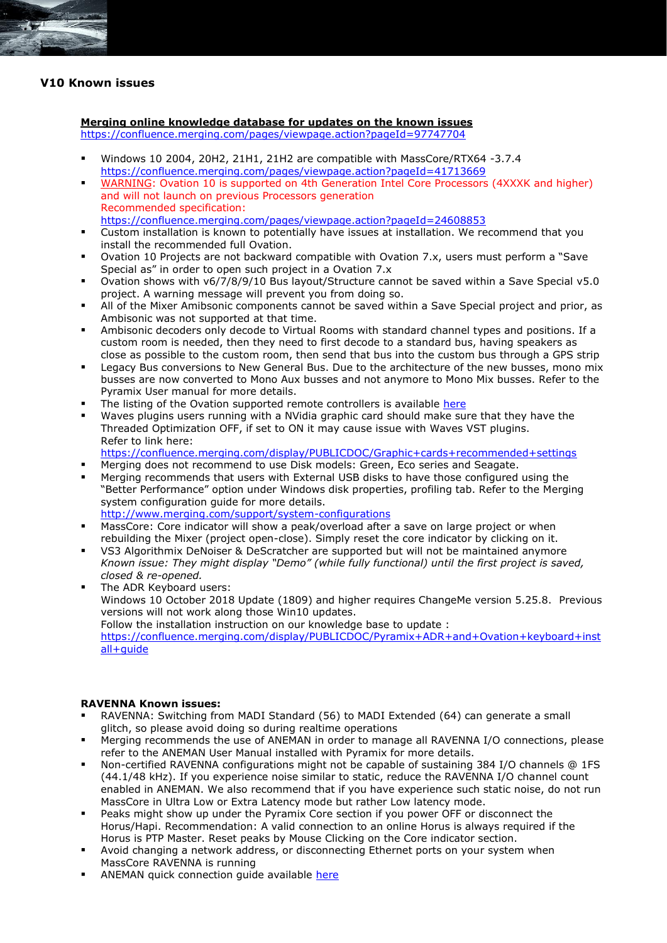

## **V10 Known issues**

#### **Merging online knowledge database for updates on the known issues**

<https://confluence.merging.com/pages/viewpage.action?pageId=97747704>

- Windows 10 2004, 20H2, 21H1, 21H2 are compatible with MassCore/RTX64 -3.7.4 <https://confluence.merging.com/pages/viewpage.action?pageId=41713669>
- WARNING: Ovation 10 is supported on 4th Generation Intel Core Processors (4XXXK and higher) and will not launch on previous Processors generation Recommended specification: <https://confluence.merging.com/pages/viewpage.action?pageId=24608853>
- Custom installation is known to potentially have issues at installation. We recommend that you install the recommended full Ovation.
- Ovation 10 Projects are not backward compatible with Ovation 7.x, users must perform a "Save Special as" in order to open such project in a Ovation 7.x
- Ovation shows with v6/7/8/9/10 Bus layout/Structure cannot be saved within a Save Special v5.0 project. A warning message will prevent you from doing so.
- All of the Mixer Amibsonic components cannot be saved within a Save Special project and prior, as Ambisonic was not supported at that time.
- Ambisonic decoders only decode to Virtual Rooms with standard channel types and positions. If a custom room is needed, then they need to first decode to a standard bus, having speakers as close as possible to the custom room, then send that bus into the custom bus through a GPS strip
- Legacy Bus conversions to New General Bus. Due to the architecture of the new busses, mono mix busses are now converted to Mono Aux busses and not anymore to Mono Mix busses. Refer to the Pyramix User manual for more details.
- The listing of the Ovation supported remote controllers is available [here](https://confluence.merging.com/pages/viewpage.action?pageId=17203276)
- Waves plugins users running with a NVidia graphic card should make sure that they have the Threaded Optimization OFF, if set to ON it may cause issue with Waves VST plugins. Refer to link here:
- <https://confluence.merging.com/display/PUBLICDOC/Graphic+cards+recommended+settings>
- Merging does not recommend to use Disk models: Green, Eco series and Seagate.
- Merging recommends that users with External USB disks to have those configured using the "Better Performance" option under Windows disk properties, profiling tab. Refer to the Merging system configuration guide for more details.
- <http://www.merging.com/support/system-configurations>
- MassCore: Core indicator will show a peak/overload after a save on large project or when rebuilding the Mixer (project open-close). Simply reset the core indicator by clicking on it.
- VS3 Algorithmix DeNoiser & DeScratcher are supported but will not be maintained anymore *Known issue: They might display "Demo" (while fully functional) until the first project is saved, closed & re-opened.*
- The ADR Keyboard users: Windows 10 October 2018 Update (1809) and higher requires ChangeMe version 5.25.8. Previous versions will not work along those Win10 updates. Follow the installation instruction on our knowledge base to update : [https://confluence.merging.com/display/PUBLICDOC/Pyramix+ADR+and+Ovation+keyboard+inst](https://confluence.merging.com/display/PUBLICDOC/Pyramix+ADR+and+Ovation+keyboard+install+guide) [all+guide](https://confluence.merging.com/display/PUBLICDOC/Pyramix+ADR+and+Ovation+keyboard+install+guide)

#### **RAVENNA Known issues:**

- RAVENNA: Switching from MADI Standard (56) to MADI Extended (64) can generate a small glitch, so please avoid doing so during realtime operations
- Merging recommends the use of ANEMAN in order to manage all RAVENNA I/O connections, please refer to the ANEMAN User Manual installed with Pyramix for more details.
- Non-certified RAVENNA configurations might not be capable of sustaining 384 I/O channels @ 1FS (44.1/48 kHz). If you experience noise similar to static, reduce the RAVENNA I/O channel count enabled in ANEMAN. We also recommend that if you have experience such static noise, do not run MassCore in Ultra Low or Extra Latency mode but rather Low latency mode.
- Peaks might show up under the Pyramix Core section if you power OFF or disconnect the Horus/Hapi. Recommendation: A valid connection to an online Horus is always required if the Horus is PTP Master. Reset peaks by Mouse Clicking on the Core indicator section.
- Avoid changing a network address, or disconnecting Ethernet ports on your system when MassCore RAVENNA is running
- [ANEMAN q](https://confluence.merging.com/display/PUBLICDOC/RAVENNA+EasyConnect+Troubleshooting)uick connection guide available [here](https://confluence.merging.com/display/PUBLICDOC/ANEMAN+-+Quick+Connection+Guide)